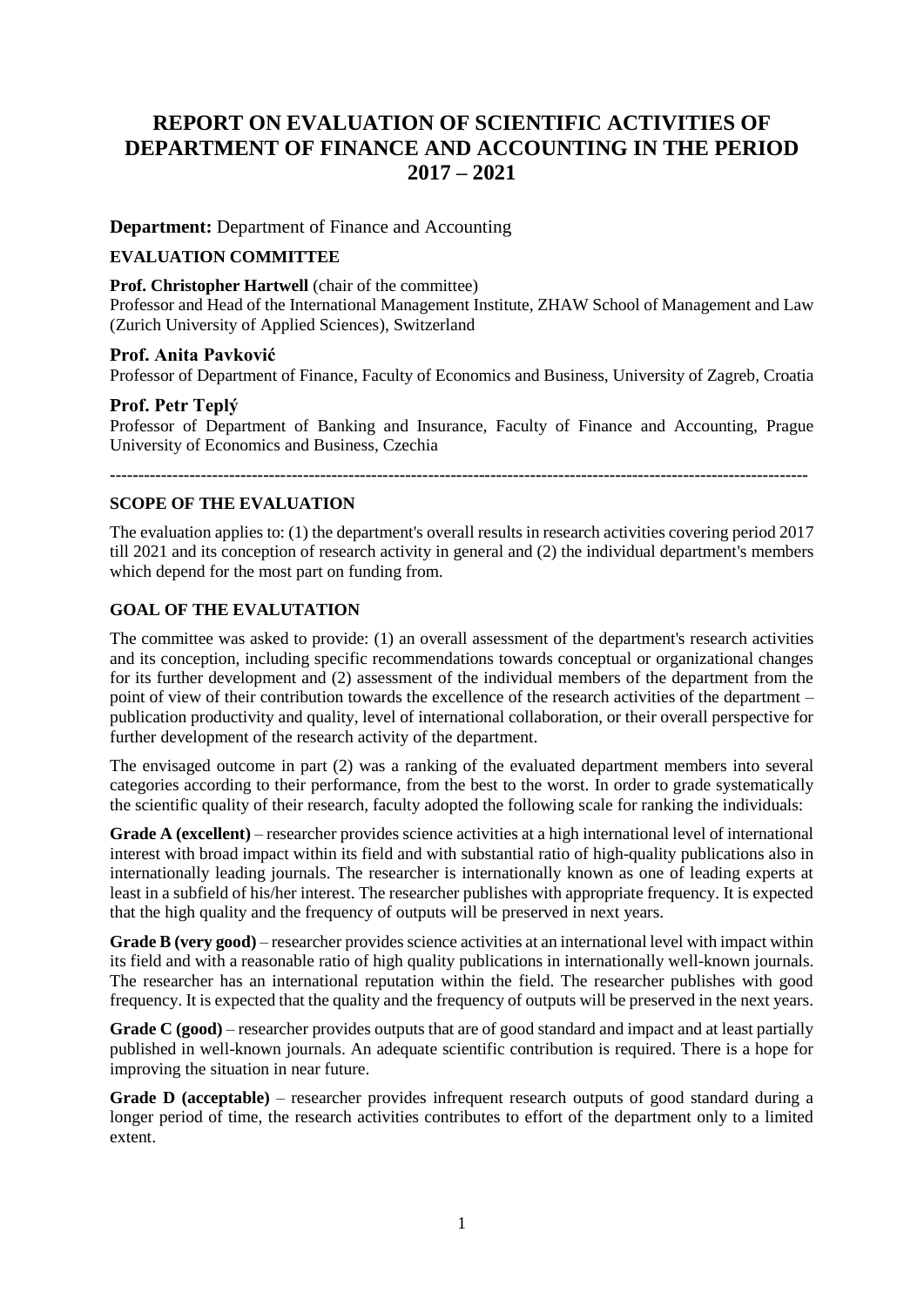# **REPORT ON EVALUATION OF SCIENTIFIC ACTIVITIES OF DEPARTMENT OF FINANCE AND ACCOUNTING IN THE PERIOD 2017 – 2021**

**Department:** Department of Finance and Accounting

#### **EVALUATION COMMITTEE**

#### **Prof. Christopher Hartwell** (chair of the committee)

Professor and Head of the International Management Institute, ZHAW School of Management and Law (Zurich University of Applied Sciences), Switzerland

#### **Prof. Anita Pavković**

Professor of Department of Finance, Faculty of Economics and Business, University of Zagreb, Croatia

#### **Prof. Petr Teplý**

Professor of Department of Banking and Insurance, Faculty of Finance and Accounting, Prague University of Economics and Business, Czechia

**---------------------------------------------------------------------------------------------------------------------------**

#### **SCOPE OF THE EVALUATION**

The evaluation applies to: (1) the department's overall results in research activities covering period 2017 till 2021 and its conception of research activity in general and (2) the individual department's members which depend for the most part on funding from.

#### **GOAL OF THE EVALUTATION**

The committee was asked to provide: (1) an overall assessment of the department's research activities and its conception, including specific recommendations towards conceptual or organizational changes for its further development and (2) assessment of the individual members of the department from the point of view of their contribution towards the excellence of the research activities of the department – publication productivity and quality, level of international collaboration, or their overall perspective for further development of the research activity of the department.

The envisaged outcome in part (2) was a ranking of the evaluated department members into several categories according to their performance, from the best to the worst. In order to grade systematically the scientific quality of their research, faculty adopted the following scale for ranking the individuals:

**Grade A (excellent)** – researcher provides science activities at a high international level of international interest with broad impact within its field and with substantial ratio of high-quality publications also in internationally leading journals. The researcher is internationally known as one of leading experts at least in a subfield of his/her interest. The researcher publishes with appropriate frequency. It is expected that the high quality and the frequency of outputs will be preserved in next years.

**Grade B (very good)** – researcher provides science activities at an international level with impact within its field and with a reasonable ratio of high quality publications in internationally well-known journals. The researcher has an international reputation within the field. The researcher publishes with good frequency. It is expected that the quality and the frequency of outputs will be preserved in the next years.

**Grade C (good)** – researcher provides outputs that are of good standard and impact and at least partially published in well-known journals. An adequate scientific contribution is required. There is a hope for improving the situation in near future.

**Grade D (acceptable)** – researcher provides infrequent research outputs of good standard during a longer period of time, the research activities contributes to effort of the department only to a limited extent.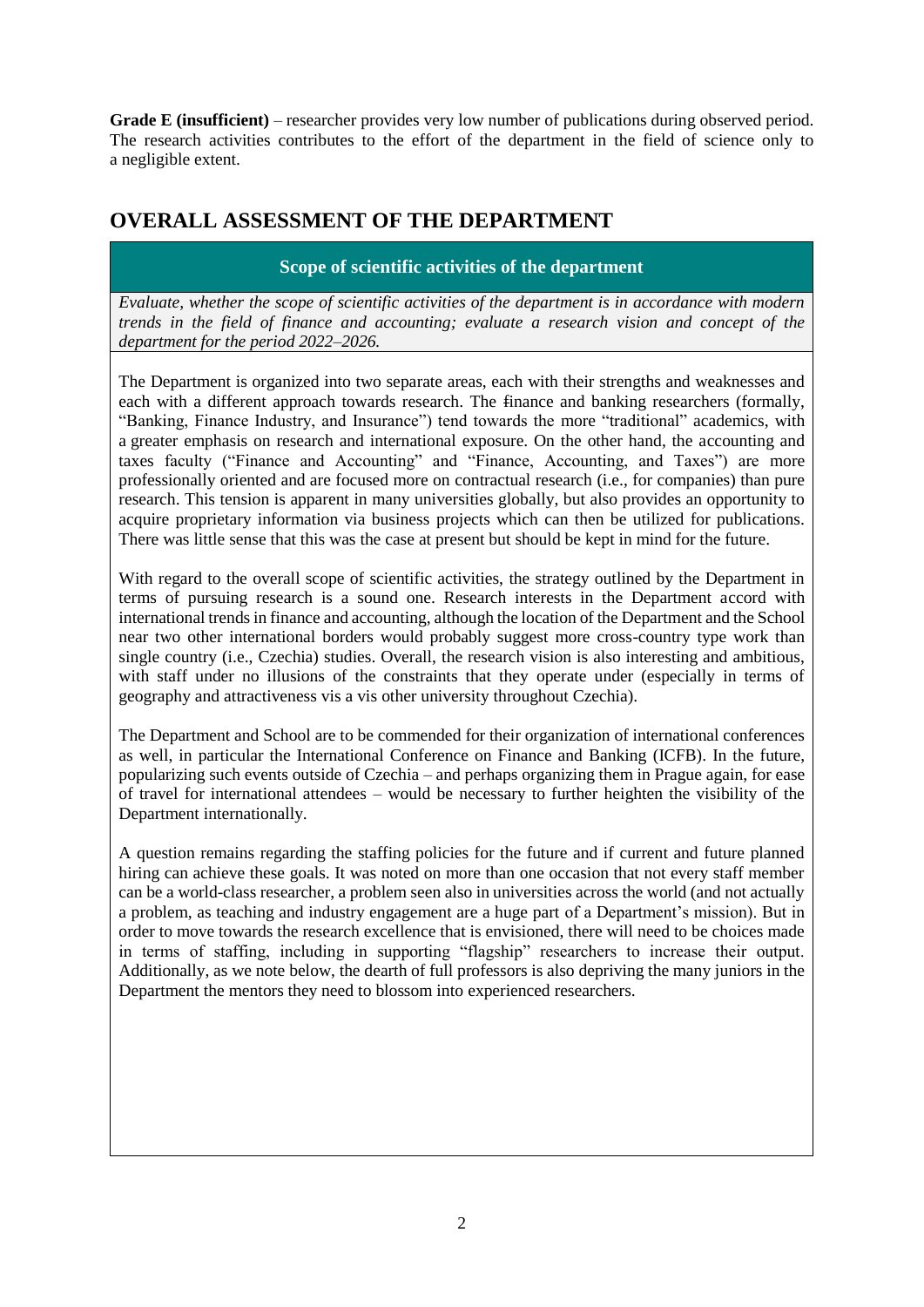**Grade E (insufficient)** – researcher provides very low number of publications during observed period. The research activities contributes to the effort of the department in the field of science only to a negligible extent.

# **OVERALL ASSESSMENT OF THE DEPARTMENT**

# **Scope of scientific activities of the department**

*Evaluate, whether the scope of scientific activities of the department is in accordance with modern trends in the field of finance and accounting; evaluate a research vision and concept of the department for the period 2022–2026.*

The Department is organized into two separate areas, each with their strengths and weaknesses and each with a different approach towards research. The finance and banking researchers (formally, "Banking, Finance Industry, and Insurance") tend towards the more "traditional" academics, with a greater emphasis on research and international exposure. On the other hand, the accounting and taxes faculty ("Finance and Accounting" and "Finance, Accounting, and Taxes") are more professionally oriented and are focused more on contractual research (i.e., for companies) than pure research. This tension is apparent in many universities globally, but also provides an opportunity to acquire proprietary information via business projects which can then be utilized for publications. There was little sense that this was the case at present but should be kept in mind for the future.

With regard to the overall scope of scientific activities, the strategy outlined by the Department in terms of pursuing research is a sound one. Research interests in the Department accord with international trends in finance and accounting, although the location of the Department and the School near two other international borders would probably suggest more cross-country type work than single country (i.e., Czechia) studies. Overall, the research vision is also interesting and ambitious, with staff under no illusions of the constraints that they operate under (especially in terms of geography and attractiveness vis a vis other university throughout Czechia).

The Department and School are to be commended for their organization of international conferences as well, in particular the International Conference on Finance and Banking (ICFB). In the future, popularizing such events outside of Czechia – and perhaps organizing them in Prague again, for ease of travel for international attendees – would be necessary to further heighten the visibility of the Department internationally.

A question remains regarding the staffing policies for the future and if current and future planned hiring can achieve these goals. It was noted on more than one occasion that not every staff member can be a world-class researcher, a problem seen also in universities across the world (and not actually a problem, as teaching and industry engagement are a huge part of a Department's mission). But in order to move towards the research excellence that is envisioned, there will need to be choices made in terms of staffing, including in supporting "flagship" researchers to increase their output. Additionally, as we note below, the dearth of full professors is also depriving the many juniors in the Department the mentors they need to blossom into experienced researchers.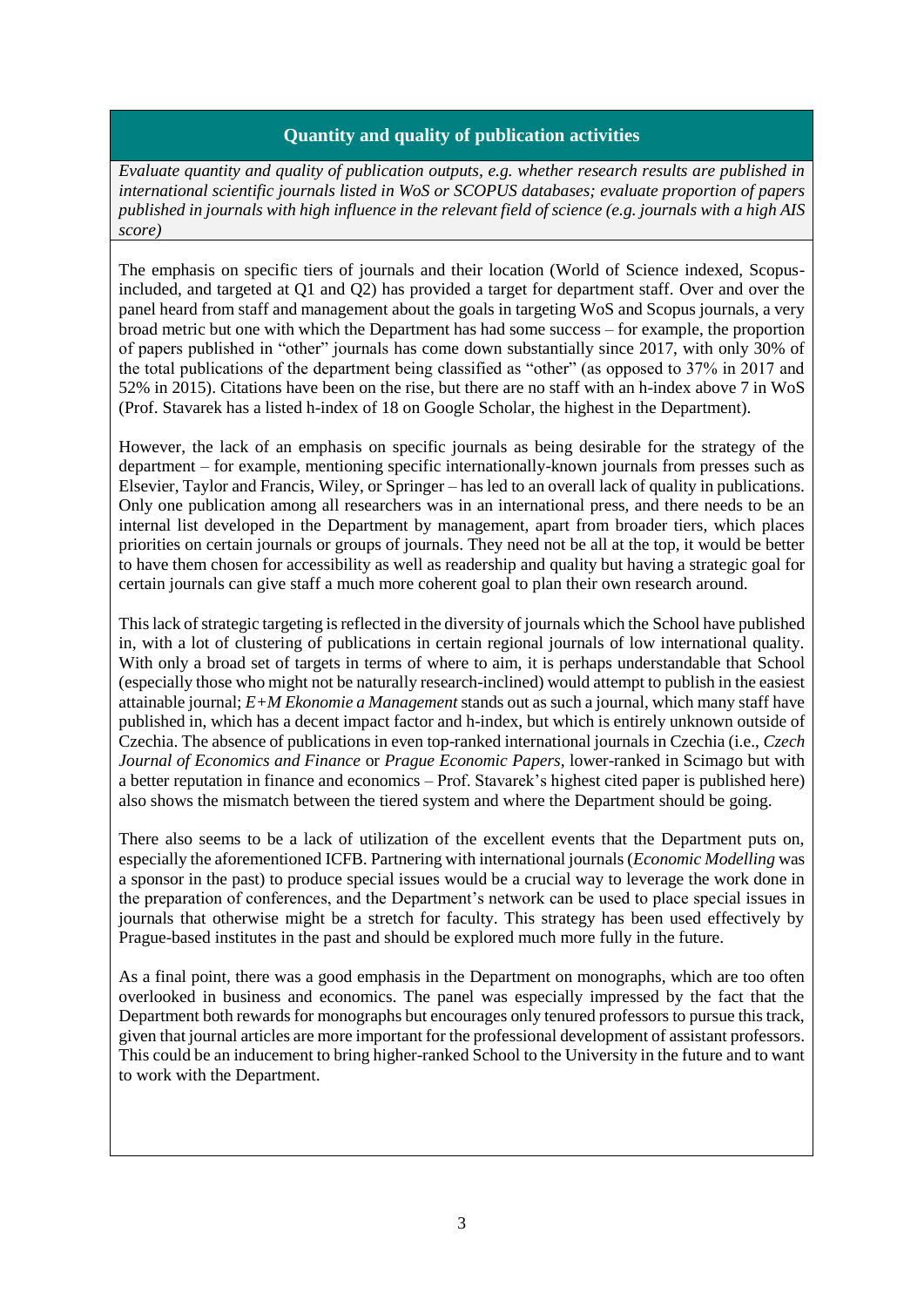### **Quantity and quality of publication activities**

*Evaluate quantity and quality of publication outputs, e.g. whether research results are published in international scientific journals listed in WoS or SCOPUS databases; evaluate proportion of papers published in journals with high influence in the relevant field of science (e.g. journals with a high AIS score)*

The emphasis on specific tiers of journals and their location (World of Science indexed, Scopusincluded, and targeted at Q1 and Q2) has provided a target for department staff. Over and over the panel heard from staff and management about the goals in targeting WoS and Scopus journals, a very broad metric but one with which the Department has had some success – for example, the proportion of papers published in "other" journals has come down substantially since 2017, with only 30% of the total publications of the department being classified as "other" (as opposed to 37% in 2017 and 52% in 2015). Citations have been on the rise, but there are no staff with an h-index above 7 in WoS (Prof. Stavarek has a listed h-index of 18 on Google Scholar, the highest in the Department).

However, the lack of an emphasis on specific journals as being desirable for the strategy of the department – for example, mentioning specific internationally-known journals from presses such as Elsevier, Taylor and Francis, Wiley, or Springer – has led to an overall lack of quality in publications. Only one publication among all researchers was in an international press, and there needs to be an internal list developed in the Department by management, apart from broader tiers, which places priorities on certain journals or groups of journals. They need not be all at the top, it would be better to have them chosen for accessibility as well as readership and quality but having a strategic goal for certain journals can give staff a much more coherent goal to plan their own research around.

This lack of strategic targeting is reflected in the diversity of journals which the School have published in, with a lot of clustering of publications in certain regional journals of low international quality. With only a broad set of targets in terms of where to aim, it is perhaps understandable that School (especially those who might not be naturally research-inclined) would attempt to publish in the easiest attainable journal; *E+M Ekonomie a Management* stands out as such a journal, which many staff have published in, which has a decent impact factor and h-index, but which is entirely unknown outside of Czechia. The absence of publications in even top-ranked international journals in Czechia (i.e., *Czech Journal of Economics and Finance* or *Prague Economic Papers*, lower-ranked in Scimago but with a better reputation in finance and economics – Prof. Stavarek's highest cited paper is published here) also shows the mismatch between the tiered system and where the Department should be going.

There also seems to be a lack of utilization of the excellent events that the Department puts on, especially the aforementioned ICFB. Partnering with international journals (*Economic Modelling* was a sponsor in the past) to produce special issues would be a crucial way to leverage the work done in the preparation of conferences, and the Department's network can be used to place special issues in journals that otherwise might be a stretch for faculty. This strategy has been used effectively by Prague-based institutes in the past and should be explored much more fully in the future.

As a final point, there was a good emphasis in the Department on monographs, which are too often overlooked in business and economics. The panel was especially impressed by the fact that the Department both rewards for monographs but encourages only tenured professors to pursue this track, given that journal articles are more important for the professional development of assistant professors. This could be an inducement to bring higher-ranked School to the University in the future and to want to work with the Department.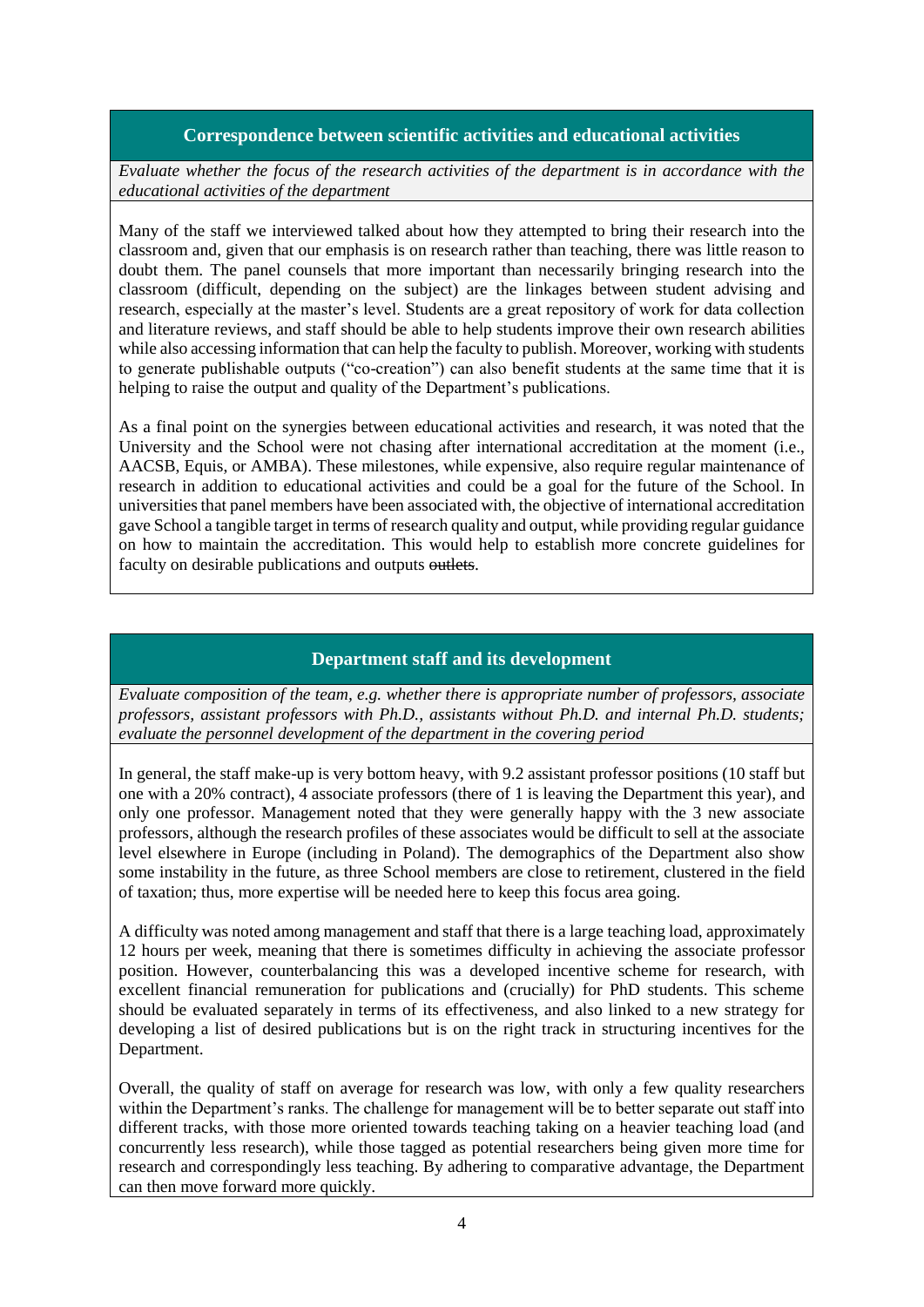### **Correspondence between scientific activities and educational activities**

*Evaluate whether the focus of the research activities of the department is in accordance with the educational activities of the department*

Many of the staff we interviewed talked about how they attempted to bring their research into the classroom and, given that our emphasis is on research rather than teaching, there was little reason to doubt them. The panel counsels that more important than necessarily bringing research into the classroom (difficult, depending on the subject) are the linkages between student advising and research, especially at the master's level. Students are a great repository of work for data collection and literature reviews, and staff should be able to help students improve their own research abilities while also accessing information that can help the faculty to publish. Moreover, working with students to generate publishable outputs ("co-creation") can also benefit students at the same time that it is helping to raise the output and quality of the Department's publications.

As a final point on the synergies between educational activities and research, it was noted that the University and the School were not chasing after international accreditation at the moment (i.e., AACSB, Equis, or AMBA). These milestones, while expensive, also require regular maintenance of research in addition to educational activities and could be a goal for the future of the School. In universities that panel members have been associated with, the objective of international accreditation gave School a tangible target in terms of research quality and output, while providing regular guidance on how to maintain the accreditation. This would help to establish more concrete guidelines for faculty on desirable publications and outputs outlets.

## **Department staff and its development**

*Evaluate composition of the team, e.g. whether there is appropriate number of professors, associate professors, assistant professors with Ph.D., assistants without Ph.D. and internal Ph.D. students; evaluate the personnel development of the department in the covering period* 

In general, the staff make-up is very bottom heavy, with 9.2 assistant professor positions (10 staff but one with a 20% contract), 4 associate professors (there of 1 is leaving the Department this year), and only one professor. Management noted that they were generally happy with the 3 new associate professors, although the research profiles of these associates would be difficult to sell at the associate level elsewhere in Europe (including in Poland). The demographics of the Department also show some instability in the future, as three School members are close to retirement, clustered in the field of taxation; thus, more expertise will be needed here to keep this focus area going.

A difficulty was noted among management and staff that there is a large teaching load, approximately 12 hours per week, meaning that there is sometimes difficulty in achieving the associate professor position. However, counterbalancing this was a developed incentive scheme for research, with excellent financial remuneration for publications and (crucially) for PhD students. This scheme should be evaluated separately in terms of its effectiveness, and also linked to a new strategy for developing a list of desired publications but is on the right track in structuring incentives for the Department.

Overall, the quality of staff on average for research was low, with only a few quality researchers within the Department's ranks. The challenge for management will be to better separate out staff into different tracks, with those more oriented towards teaching taking on a heavier teaching load (and concurrently less research), while those tagged as potential researchers being given more time for research and correspondingly less teaching. By adhering to comparative advantage, the Department can then move forward more quickly.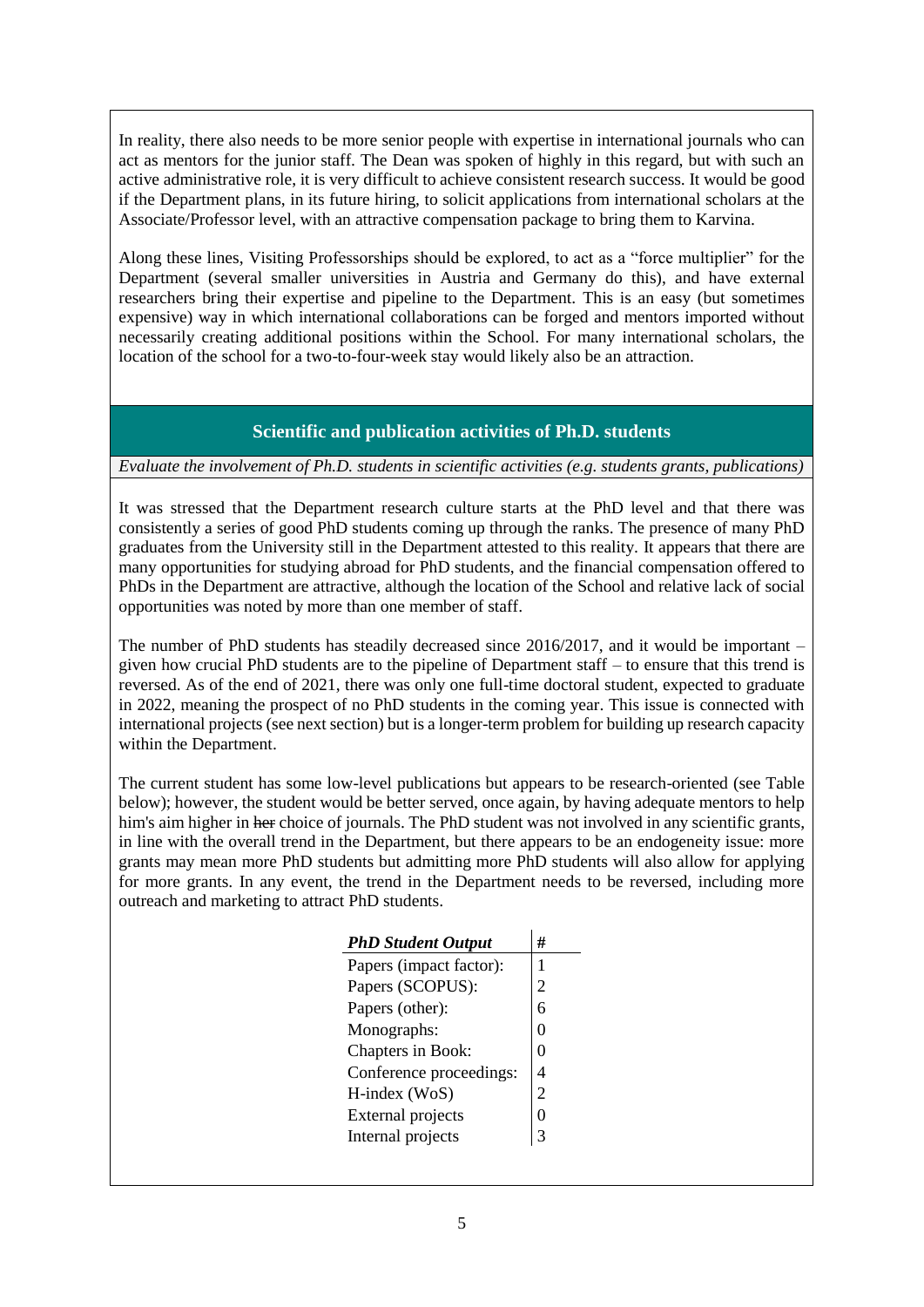In reality, there also needs to be more senior people with expertise in international journals who can act as mentors for the junior staff. The Dean was spoken of highly in this regard, but with such an active administrative role, it is very difficult to achieve consistent research success. It would be good if the Department plans, in its future hiring, to solicit applications from international scholars at the Associate/Professor level, with an attractive compensation package to bring them to Karvina.

Along these lines, Visiting Professorships should be explored, to act as a "force multiplier" for the Department (several smaller universities in Austria and Germany do this), and have external researchers bring their expertise and pipeline to the Department. This is an easy (but sometimes expensive) way in which international collaborations can be forged and mentors imported without necessarily creating additional positions within the School. For many international scholars, the location of the school for a two-to-four-week stay would likely also be an attraction.

## **Scientific and publication activities of Ph.D. students**

#### *Evaluate the involvement of Ph.D. students in scientific activities (e.g. students grants, publications)*

It was stressed that the Department research culture starts at the PhD level and that there was consistently a series of good PhD students coming up through the ranks. The presence of many PhD graduates from the University still in the Department attested to this reality. It appears that there are many opportunities for studying abroad for PhD students, and the financial compensation offered to PhDs in the Department are attractive, although the location of the School and relative lack of social opportunities was noted by more than one member of staff.

The number of PhD students has steadily decreased since 2016/2017, and it would be important – given how crucial PhD students are to the pipeline of Department staff – to ensure that this trend is reversed. As of the end of 2021, there was only one full-time doctoral student, expected to graduate in 2022, meaning the prospect of no PhD students in the coming year. This issue is connected with international projects (see next section) but is a longer-term problem for building up research capacity within the Department.

The current student has some low-level publications but appears to be research-oriented (see Table below); however, the student would be better served, once again, by having adequate mentors to help him's aim higher in her choice of journals. The PhD student was not involved in any scientific grants, in line with the overall trend in the Department, but there appears to be an endogeneity issue: more grants may mean more PhD students but admitting more PhD students will also allow for applying for more grants. In any event, the trend in the Department needs to be reversed, including more outreach and marketing to attract PhD students.

| <b>PhD Student Output</b> | #              |
|---------------------------|----------------|
| Papers (impact factor):   | 1              |
| Papers (SCOPUS):          | 2              |
| Papers (other):           | 6              |
| Monographs:               | 0              |
| Chapters in Book:         | 0              |
| Conference proceedings:   | 4              |
| $H$ -index (WoS)          | $\overline{c}$ |
| <b>External projects</b>  | 0              |
| Internal projects         | 3              |
|                           |                |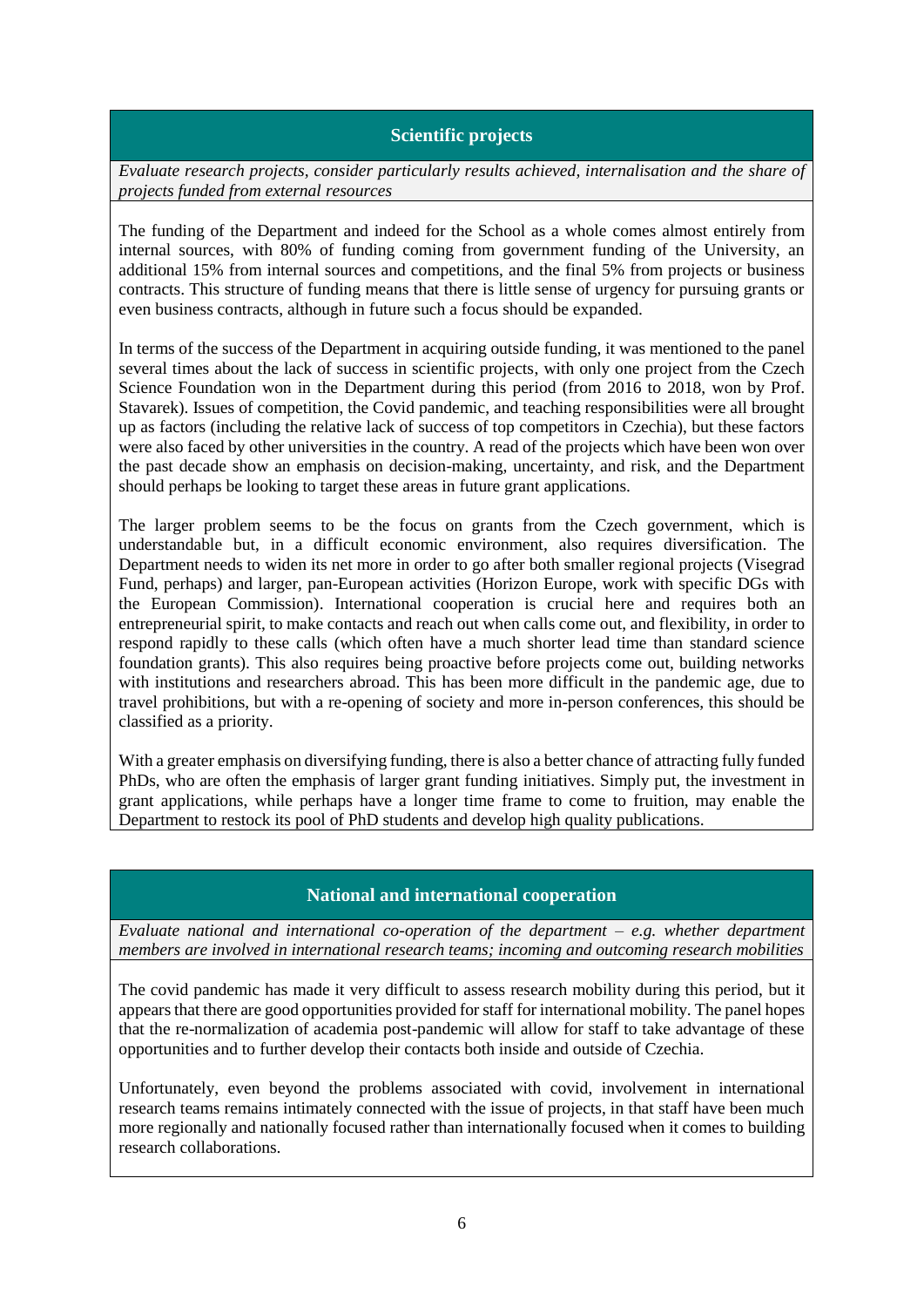### **Scientific projects**

*Evaluate research projects, consider particularly results achieved, internalisation and the share of projects funded from external resources*

The funding of the Department and indeed for the School as a whole comes almost entirely from internal sources, with 80% of funding coming from government funding of the University, an additional 15% from internal sources and competitions, and the final 5% from projects or business contracts. This structure of funding means that there is little sense of urgency for pursuing grants or even business contracts, although in future such a focus should be expanded.

In terms of the success of the Department in acquiring outside funding, it was mentioned to the panel several times about the lack of success in scientific projects, with only one project from the Czech Science Foundation won in the Department during this period (from 2016 to 2018, won by Prof. Stavarek). Issues of competition, the Covid pandemic, and teaching responsibilities were all brought up as factors (including the relative lack of success of top competitors in Czechia), but these factors were also faced by other universities in the country. A read of the projects which have been won over the past decade show an emphasis on decision-making, uncertainty, and risk, and the Department should perhaps be looking to target these areas in future grant applications.

The larger problem seems to be the focus on grants from the Czech government, which is understandable but, in a difficult economic environment, also requires diversification. The Department needs to widen its net more in order to go after both smaller regional projects (Visegrad Fund, perhaps) and larger, pan-European activities (Horizon Europe, work with specific DGs with the European Commission). International cooperation is crucial here and requires both an entrepreneurial spirit, to make contacts and reach out when calls come out, and flexibility, in order to respond rapidly to these calls (which often have a much shorter lead time than standard science foundation grants). This also requires being proactive before projects come out, building networks with institutions and researchers abroad. This has been more difficult in the pandemic age, due to travel prohibitions, but with a re-opening of society and more in-person conferences, this should be classified as a priority.

With a greater emphasis on diversifying funding, there is also a better chance of attracting fully funded PhDs, who are often the emphasis of larger grant funding initiatives. Simply put, the investment in grant applications, while perhaps have a longer time frame to come to fruition, may enable the Department to restock its pool of PhD students and develop high quality publications.

### **National and international cooperation**

*Evaluate national and international co-operation of the department – e.g. whether department members are involved in international research teams; incoming and outcoming research mobilities* 

The covid pandemic has made it very difficult to assess research mobility during this period, but it appears that there are good opportunities provided for staff for international mobility. The panel hopes that the re-normalization of academia post-pandemic will allow for staff to take advantage of these opportunities and to further develop their contacts both inside and outside of Czechia.

Unfortunately, even beyond the problems associated with covid, involvement in international research teams remains intimately connected with the issue of projects, in that staff have been much more regionally and nationally focused rather than internationally focused when it comes to building research collaborations.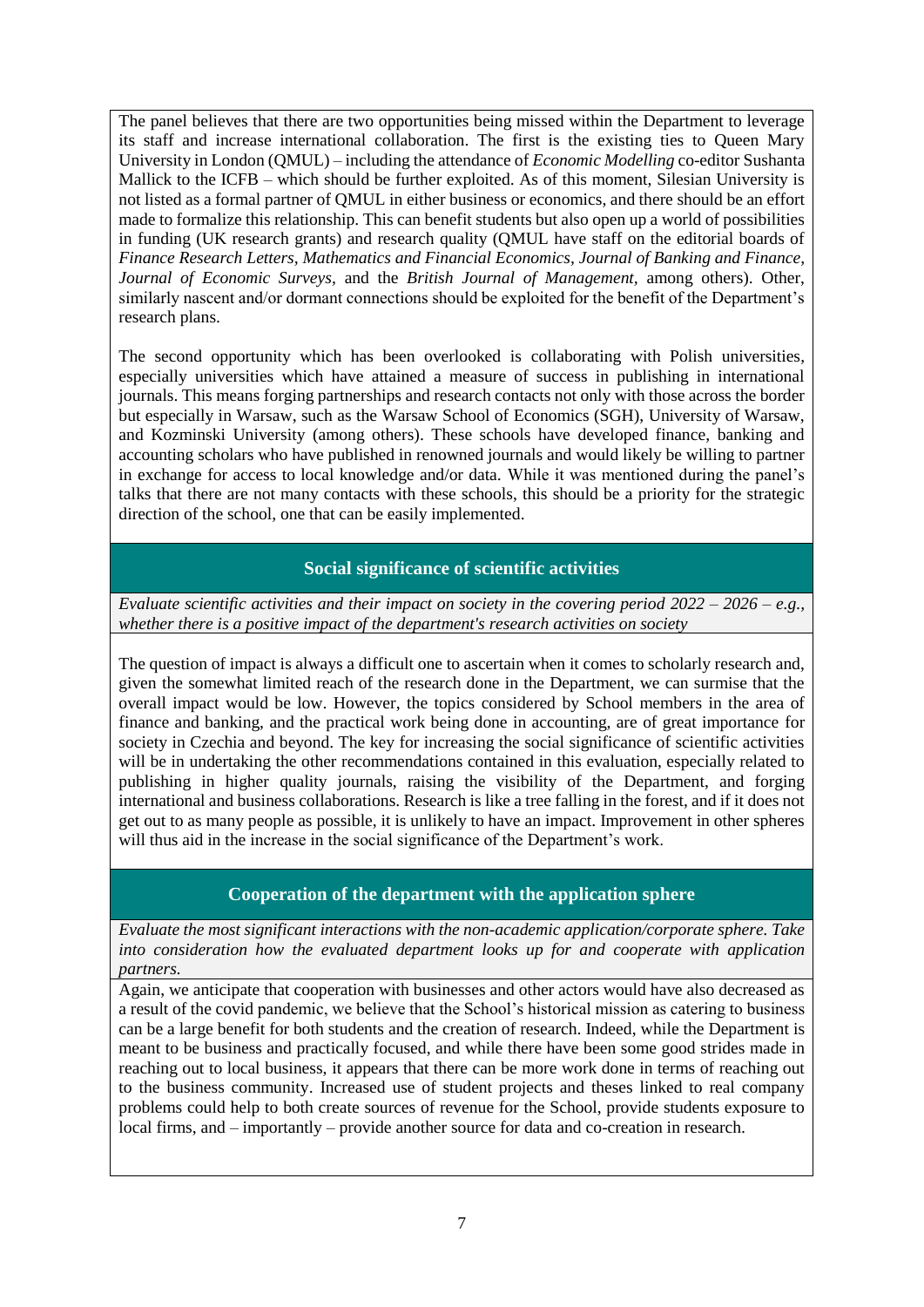The panel believes that there are two opportunities being missed within the Department to leverage its staff and increase international collaboration. The first is the existing ties to Queen Mary University in London (QMUL) – including the attendance of *Economic Modelling* co-editor Sushanta Mallick to the ICFB – which should be further exploited. As of this moment, Silesian University is not listed as a formal partner of QMUL in either business or economics, and there should be an effort made to formalize this relationship. This can benefit students but also open up a world of possibilities in funding (UK research grants) and research quality (QMUL have staff on the editorial boards of *Finance Research Letters, Mathematics and Financial Economics, Journal of Banking and Finance, Journal of Economic Surveys,* and the *British Journal of Management,* among others). Other, similarly nascent and/or dormant connections should be exploited for the benefit of the Department's research plans.

The second opportunity which has been overlooked is collaborating with Polish universities, especially universities which have attained a measure of success in publishing in international journals. This means forging partnerships and research contacts not only with those across the border but especially in Warsaw, such as the Warsaw School of Economics (SGH), University of Warsaw, and Kozminski University (among others). These schools have developed finance, banking and accounting scholars who have published in renowned journals and would likely be willing to partner in exchange for access to local knowledge and/or data. While it was mentioned during the panel's talks that there are not many contacts with these schools, this should be a priority for the strategic direction of the school, one that can be easily implemented.

## **Social significance of scientific activities**

*Evaluate scientific activities and their impact on society in the covering period 2022 – 2026 – e.g., whether there is a positive impact of the department's research activities on society*

The question of impact is always a difficult one to ascertain when it comes to scholarly research and, given the somewhat limited reach of the research done in the Department, we can surmise that the overall impact would be low. However, the topics considered by School members in the area of finance and banking, and the practical work being done in accounting, are of great importance for society in Czechia and beyond. The key for increasing the social significance of scientific activities will be in undertaking the other recommendations contained in this evaluation, especially related to publishing in higher quality journals, raising the visibility of the Department, and forging international and business collaborations. Research is like a tree falling in the forest, and if it does not get out to as many people as possible, it is unlikely to have an impact. Improvement in other spheres will thus aid in the increase in the social significance of the Department's work.

### **Cooperation of the department with the application sphere**

*Evaluate the most significant interactions with the non-academic application/corporate sphere. Take into consideration how the evaluated department looks up for and cooperate with application partners.*

Again, we anticipate that cooperation with businesses and other actors would have also decreased as a result of the covid pandemic, we believe that the School's historical mission as catering to business can be a large benefit for both students and the creation of research. Indeed, while the Department is meant to be business and practically focused, and while there have been some good strides made in reaching out to local business, it appears that there can be more work done in terms of reaching out to the business community. Increased use of student projects and theses linked to real company problems could help to both create sources of revenue for the School, provide students exposure to local firms, and – importantly – provide another source for data and co-creation in research.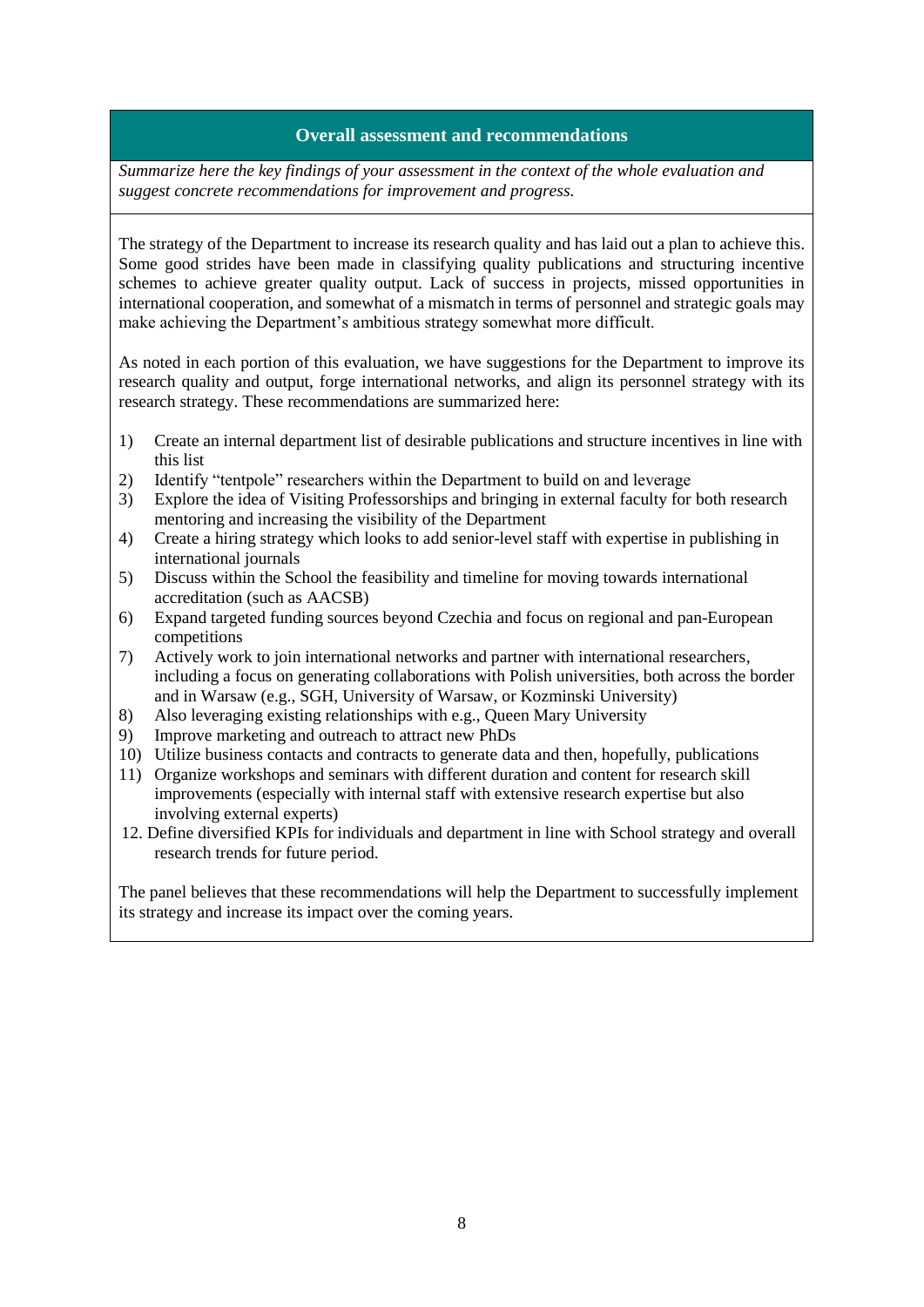### **Overall assessment and recommendations**

*Summarize here the key findings of your assessment in the context of the whole evaluation and suggest concrete recommendations for improvement and progress.*

The strategy of the Department to increase its research quality and has laid out a plan to achieve this. Some good strides have been made in classifying quality publications and structuring incentive schemes to achieve greater quality output. Lack of success in projects, missed opportunities in international cooperation, and somewhat of a mismatch in terms of personnel and strategic goals may make achieving the Department's ambitious strategy somewhat more difficult.

As noted in each portion of this evaluation, we have suggestions for the Department to improve its research quality and output, forge international networks, and align its personnel strategy with its research strategy. These recommendations are summarized here:

- 1) Create an internal department list of desirable publications and structure incentives in line with this list
- 2) Identify "tentpole" researchers within the Department to build on and leverage
- 3) Explore the idea of Visiting Professorships and bringing in external faculty for both research mentoring and increasing the visibility of the Department
- 4) Create a hiring strategy which looks to add senior-level staff with expertise in publishing in international journals
- 5) Discuss within the School the feasibility and timeline for moving towards international accreditation (such as AACSB)
- 6) Expand targeted funding sources beyond Czechia and focus on regional and pan-European competitions
- 7) Actively work to join international networks and partner with international researchers, including a focus on generating collaborations with Polish universities, both across the border and in Warsaw (e.g., SGH, University of Warsaw, or Kozminski University)
- 8) Also leveraging existing relationships with e.g., Queen Mary University
- 9) Improve marketing and outreach to attract new PhDs
- 10) Utilize business contacts and contracts to generate data and then, hopefully, publications
- 11) Organize workshops and seminars with different duration and content for research skill improvements (especially with internal staff with extensive research expertise but also involving external experts)
- 12. Define diversified KPIs for individuals and department in line with School strategy and overall research trends for future period.

The panel believes that these recommendations will help the Department to successfully implement its strategy and increase its impact over the coming years.